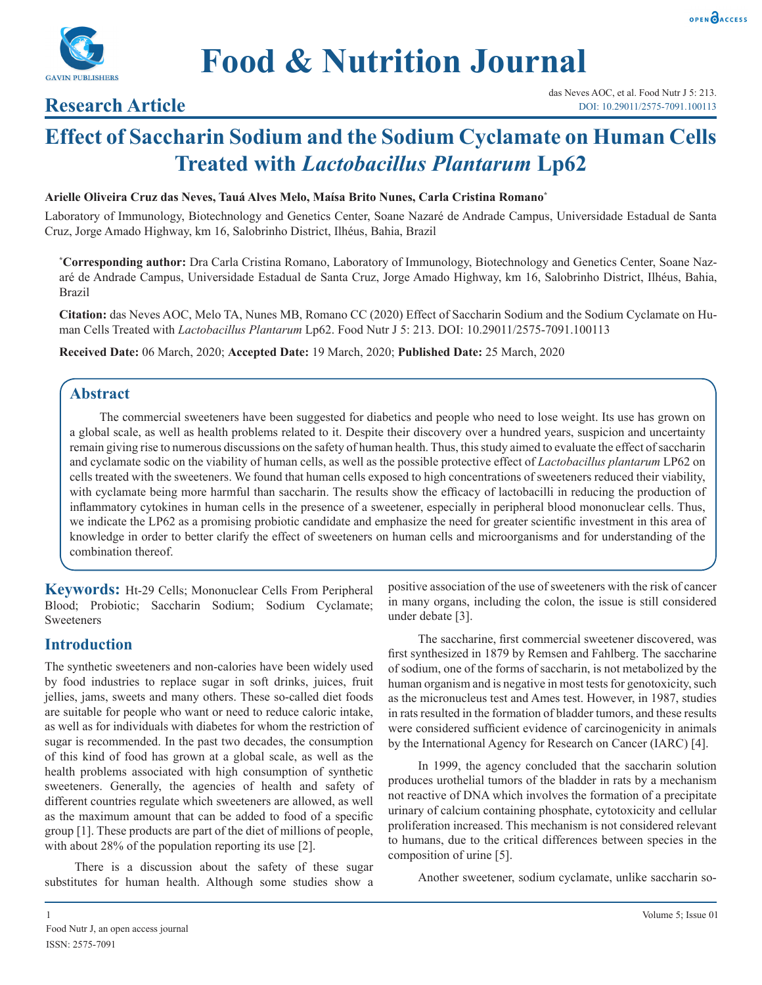



## **Research Article**

# **Effect of Saccharin Sodium and the Sodium Cyclamate on Human Cells Treated with** *Lactobacillus Plantarum* **Lp62**

### **Arielle Oliveira Cruz das Neves, Tauá Alves Melo, Maísa Brito Nunes, Carla Cristina Romano\***

Laboratory of Immunology, Biotechnology and Genetics Center, Soane Nazaré de Andrade Campus, Universidade Estadual de Santa Cruz, Jorge Amado Highway, km 16, Salobrinho District, Ilhéus, Bahia, Brazil

**\* Corresponding author:** Dra Carla Cristina Romano, Laboratory of Immunology, Biotechnology and Genetics Center, Soane Nazaré de Andrade Campus, Universidade Estadual de Santa Cruz, Jorge Amado Highway, km 16, Salobrinho District, Ilhéus, Bahia, Brazil

**Citation:** das Neves AOC, Melo TA, Nunes MB, Romano CC (2020) Effect of Saccharin Sodium and the Sodium Cyclamate on Human Cells Treated with *Lactobacillus Plantarum* Lp62. Food Nutr J 5: 213. DOI: 10.29011/2575-7091.100113

**Received Date:** 06 March, 2020; **Accepted Date:** 19 March, 2020; **Published Date:** 25 March, 2020

## **Abstract**

The commercial sweeteners have been suggested for diabetics and people who need to lose weight. Its use has grown on a global scale, as well as health problems related to it. Despite their discovery over a hundred years, suspicion and uncertainty remain giving rise to numerous discussions on the safety of human health. Thus, this study aimed to evaluate the effect of saccharin and cyclamate sodic on the viability of human cells, as well as the possible protective effect of *Lactobacillus plantarum* LP62 on cells treated with the sweeteners. We found that human cells exposed to high concentrations of sweeteners reduced their viability, with cyclamate being more harmful than saccharin. The results show the efficacy of lactobacilli in reducing the production of inflammatory cytokines in human cells in the presence of a sweetener, especially in peripheral blood mononuclear cells. Thus, we indicate the LP62 as a promising probiotic candidate and emphasize the need for greater scientific investment in this area of knowledge in order to better clarify the effect of sweeteners on human cells and microorganisms and for understanding of the combination thereof.

**Keywords:** Ht-29 Cells; Mononuclear Cells From Peripheral Blood; Probiotic; Saccharin Sodium; Sodium Cyclamate; **Sweeteners** 

## **Introduction**

The synthetic sweeteners and non-calories have been widely used by food industries to replace sugar in soft drinks, juices, fruit jellies, jams, sweets and many others. These so-called diet foods are suitable for people who want or need to reduce caloric intake, as well as for individuals with diabetes for whom the restriction of sugar is recommended. In the past two decades, the consumption of this kind of food has grown at a global scale, as well as the health problems associated with high consumption of synthetic sweeteners. Generally, the agencies of health and safety of different countries regulate which sweeteners are allowed, as well as the maximum amount that can be added to food of a specific group [1]. These products are part of the diet of millions of people, with about 28% of the population reporting its use [2].

There is a discussion about the safety of these sugar substitutes for human health. Although some studies show a positive association of the use of sweeteners with the risk of cancer in many organs, including the colon, the issue is still considered under debate [3].

The saccharine, first commercial sweetener discovered, was first synthesized in 1879 by Remsen and Fahlberg. The saccharine of sodium, one of the forms of saccharin, is not metabolized by the human organism and is negative in most tests for genotoxicity, such as the micronucleus test and Ames test. However, in 1987, studies in rats resulted in the formation of bladder tumors, and these results were considered sufficient evidence of carcinogenicity in animals by the International Agency for Research on Cancer (IARC) [4].

In 1999, the agency concluded that the saccharin solution produces urothelial tumors of the bladder in rats by a mechanism not reactive of DNA which involves the formation of a precipitate urinary of calcium containing phosphate, cytotoxicity and cellular proliferation increased. This mechanism is not considered relevant to humans, due to the critical differences between species in the composition of urine [5].

Another sweetener, sodium cyclamate, unlike saccharin so-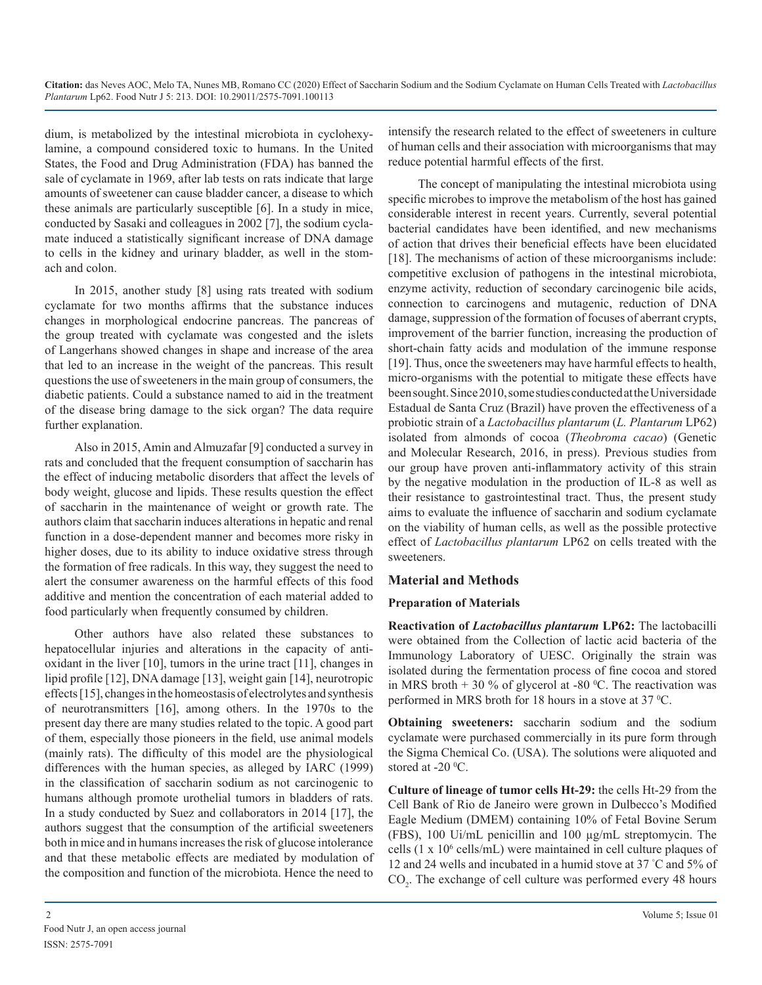dium, is metabolized by the intestinal microbiota in cyclohexylamine, a compound considered toxic to humans. In the United States, the Food and Drug Administration (FDA) has banned the sale of cyclamate in 1969, after lab tests on rats indicate that large amounts of sweetener can cause bladder cancer, a disease to which these animals are particularly susceptible [6]. In a study in mice, conducted by Sasaki and colleagues in 2002 [7], the sodium cyclamate induced a statistically significant increase of DNA damage to cells in the kidney and urinary bladder, as well in the stomach and colon.

In 2015, another study [8] using rats treated with sodium cyclamate for two months affirms that the substance induces changes in morphological endocrine pancreas. The pancreas of the group treated with cyclamate was congested and the islets of Langerhans showed changes in shape and increase of the area that led to an increase in the weight of the pancreas. This result questions the use of sweeteners in the main group of consumers, the diabetic patients. Could a substance named to aid in the treatment of the disease bring damage to the sick organ? The data require further explanation.

Also in 2015, Amin and Almuzafar [9] conducted a survey in rats and concluded that the frequent consumption of saccharin has the effect of inducing metabolic disorders that affect the levels of body weight, glucose and lipids. These results question the effect of saccharin in the maintenance of weight or growth rate. The authors claim that saccharin induces alterations in hepatic and renal function in a dose-dependent manner and becomes more risky in higher doses, due to its ability to induce oxidative stress through the formation of free radicals. In this way, they suggest the need to alert the consumer awareness on the harmful effects of this food additive and mention the concentration of each material added to food particularly when frequently consumed by children.

Other authors have also related these substances to hepatocellular injuries and alterations in the capacity of antioxidant in the liver [10], tumors in the urine tract [11], changes in lipid profile [12], DNA damage [13], weight gain [14], neurotropic effects[15], changes in the homeostasis of electrolytes and synthesis of neurotransmitters [16], among others. In the 1970s to the present day there are many studies related to the topic. A good part of them, especially those pioneers in the field, use animal models (mainly rats). The difficulty of this model are the physiological differences with the human species, as alleged by IARC (1999) in the classification of saccharin sodium as not carcinogenic to humans although promote urothelial tumors in bladders of rats. In a study conducted by Suez and collaborators in 2014 [17], the authors suggest that the consumption of the artificial sweeteners both in mice and in humans increases the risk of glucose intolerance and that these metabolic effects are mediated by modulation of the composition and function of the microbiota. Hence the need to

The concept of manipulating the intestinal microbiota using specific microbes to improve the metabolism of the host has gained considerable interest in recent years. Currently, several potential bacterial candidates have been identified, and new mechanisms of action that drives their beneficial effects have been elucidated [18]. The mechanisms of action of these microorganisms include: competitive exclusion of pathogens in the intestinal microbiota, enzyme activity, reduction of secondary carcinogenic bile acids, connection to carcinogens and mutagenic, reduction of DNA damage, suppression of the formation of focuses of aberrant crypts, improvement of the barrier function, increasing the production of short-chain fatty acids and modulation of the immune response [19]. Thus, once the sweeteners may have harmful effects to health, micro-organisms with the potential to mitigate these effects have been sought. Since 2010, some studies conducted at the Universidade Estadual de Santa Cruz (Brazil) have proven the effectiveness of a probiotic strain of a *Lactobacillus plantarum* (*L. Plantarum* LP62) isolated from almonds of cocoa (*Theobroma cacao*) (Genetic and Molecular Research, 2016, in press). Previous studies from our group have proven anti-inflammatory activity of this strain by the negative modulation in the production of IL-8 as well as their resistance to gastrointestinal tract. Thus, the present study aims to evaluate the influence of saccharin and sodium cyclamate on the viability of human cells, as well as the possible protective effect of *Lactobacillus plantarum* LP62 on cells treated with the sweeteners.

## **Material and Methods**

## **Preparation of Materials**

**Reactivation of** *Lactobacillus plantarum* **LP62:** The lactobacilli were obtained from the Collection of lactic acid bacteria of the Immunology Laboratory of UESC. Originally the strain was isolated during the fermentation process of fine cocoa and stored in MRS broth  $+30\%$  of glycerol at -80 °C. The reactivation was performed in MRS broth for 18 hours in a stove at 37 °C.

**Obtaining sweeteners:** saccharin sodium and the sodium cyclamate were purchased commercially in its pure form through the Sigma Chemical Co. (USA). The solutions were aliquoted and stored at -20  $\rm{^0C}$ .

**Culture of lineage of tumor cells Ht-29:** the cells Ht-29 from the Cell Bank of Rio de Janeiro were grown in Dulbecco's Modified Eagle Medium (DMEM) containing 10% of Fetal Bovine Serum (FBS), 100 Ui/mL penicillin and 100 µg/mL streptomycin. The cells (1 x 106 cells/mL) were maintained in cell culture plaques of 12 and 24 wells and incubated in a humid stove at 37 ° C and 5% of  $CO<sub>2</sub>$ . The exchange of cell culture was performed every 48 hours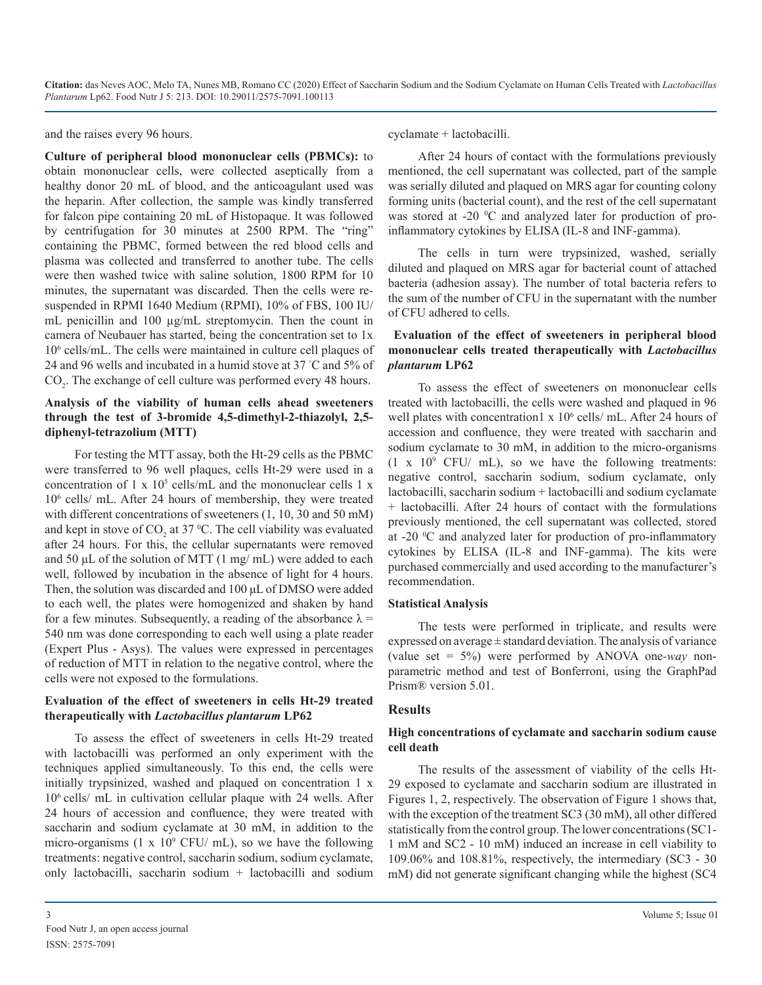and the raises every 96 hours.

**Culture of peripheral blood mononuclear cells (PBMCs):** to obtain mononuclear cells, were collected aseptically from a healthy donor 20 mL of blood, and the anticoagulant used was the heparin. After collection, the sample was kindly transferred for falcon pipe containing 20 mL of Histopaque. It was followed by centrifugation for 30 minutes at 2500 RPM. The "ring" containing the PBMC, formed between the red blood cells and plasma was collected and transferred to another tube. The cells were then washed twice with saline solution, 1800 RPM for 10 minutes, the supernatant was discarded. Then the cells were resuspended in RPMI 1640 Medium (RPMI), 10% of FBS, 100 IU/ mL penicillin and 100 µg/mL streptomycin. Then the count in camera of Neubauer has started, being the concentration set to 1x 106 cells/mL. The cells were maintained in culture cell plaques of 24 and 96 wells and incubated in a humid stove at 37 ° C and 5% of  $CO<sub>2</sub>$ . The exchange of cell culture was performed every 48 hours.

#### **Analysis of the viability of human cells ahead sweeteners through the test of 3-bromide 4,5-dimethyl-2-thiazolyl, 2,5 diphenyl-tetrazolium (MTT)**

For testing the MTT assay, both the Ht-29 cells as the PBMC were transferred to 96 well plaques, cells Ht-29 were used in a concentration of  $1 \times 10^5$  cells/mL and the mononuclear cells  $1 \times$ 106 cells/ mL. After 24 hours of membership, they were treated with different concentrations of sweeteners  $(1, 10, 30, 40, 50, 60)$ and kept in stove of  $CO_2$  at 37 °C. The cell viability was evaluated after 24 hours. For this, the cellular supernatants were removed and 50 μL of the solution of MTT (1 mg/ mL) were added to each well, followed by incubation in the absence of light for 4 hours. Then, the solution was discarded and 100 μL of DMSO were added to each well, the plates were homogenized and shaken by hand for a few minutes. Subsequently, a reading of the absorbance  $\lambda =$ 540 nm was done corresponding to each well using a plate reader (Expert Plus - Asys). The values were expressed in percentages of reduction of MTT in relation to the negative control, where the cells were not exposed to the formulations.

#### **Evaluation of the effect of sweeteners in cells Ht-29 treated therapeutically with** *Lactobacillus plantarum* **LP62**

To assess the effect of sweeteners in cells Ht-29 treated with lactobacilli was performed an only experiment with the techniques applied simultaneously. To this end, the cells were initially trypsinized, washed and plaqued on concentration 1 x 106 cells/ mL in cultivation cellular plaque with 24 wells. After 24 hours of accession and confluence, they were treated with saccharin and sodium cyclamate at 30 mM, in addition to the micro-organisms  $(1 \times 10^9 \text{ CFU/mL})$ , so we have the following treatments: negative control, saccharin sodium, sodium cyclamate, only lactobacilli, saccharin sodium + lactobacilli and sodium

cyclamate + lactobacilli.

After 24 hours of contact with the formulations previously mentioned, the cell supernatant was collected, part of the sample was serially diluted and plaqued on MRS agar for counting colony forming units (bacterial count), and the rest of the cell supernatant was stored at -20 °C and analyzed later for production of proinflammatory cytokines by ELISA (IL-8 and INF-gamma).

The cells in turn were trypsinized, washed, serially diluted and plaqued on MRS agar for bacterial count of attached bacteria (adhesion assay). The number of total bacteria refers to the sum of the number of CFU in the supernatant with the number of CFU adhered to cells.

#### **Evaluation of the effect of sweeteners in peripheral blood mononuclear cells treated therapeutically with** *Lactobacillus plantarum* **LP62**

To assess the effect of sweeteners on mononuclear cells treated with lactobacilli, the cells were washed and plaqued in 96 well plates with concentration1 x 10<sup>6</sup> cells/ mL. After 24 hours of accession and confluence, they were treated with saccharin and sodium cyclamate to 30 mM, in addition to the micro-organisms  $(1 \times 10^9 \text{ CFU} / \text{ mL})$ , so we have the following treatments: negative control, saccharin sodium, sodium cyclamate, only lactobacilli, saccharin sodium + lactobacilli and sodium cyclamate + lactobacilli. After 24 hours of contact with the formulations previously mentioned, the cell supernatant was collected, stored at -20 °C and analyzed later for production of pro-inflammatory cytokines by ELISA (IL-8 and INF-gamma). The kits were purchased commercially and used according to the manufacturer's recommendation.

#### **Statistical Analysis**

The tests were performed in triplicate, and results were expressed on average  $\pm$  standard deviation. The analysis of variance (value set = 5%) were performed by ANOVA one*-way* nonparametric method and test of Bonferroni, using the GraphPad Prism® version 5.01.

#### **Results**

#### **High concentrations of cyclamate and saccharin sodium cause cell death**

The results of the assessment of viability of the cells Ht-29 exposed to cyclamate and saccharin sodium are illustrated in Figures 1, 2, respectively. The observation of Figure 1 shows that, with the exception of the treatment SC3 (30 mM), all other differed statistically from the control group. The lower concentrations (SC1- 1 mM and SC2 - 10 mM) induced an increase in cell viability to 109.06% and 108.81%, respectively, the intermediary (SC3 - 30 mM) did not generate significant changing while the highest (SC4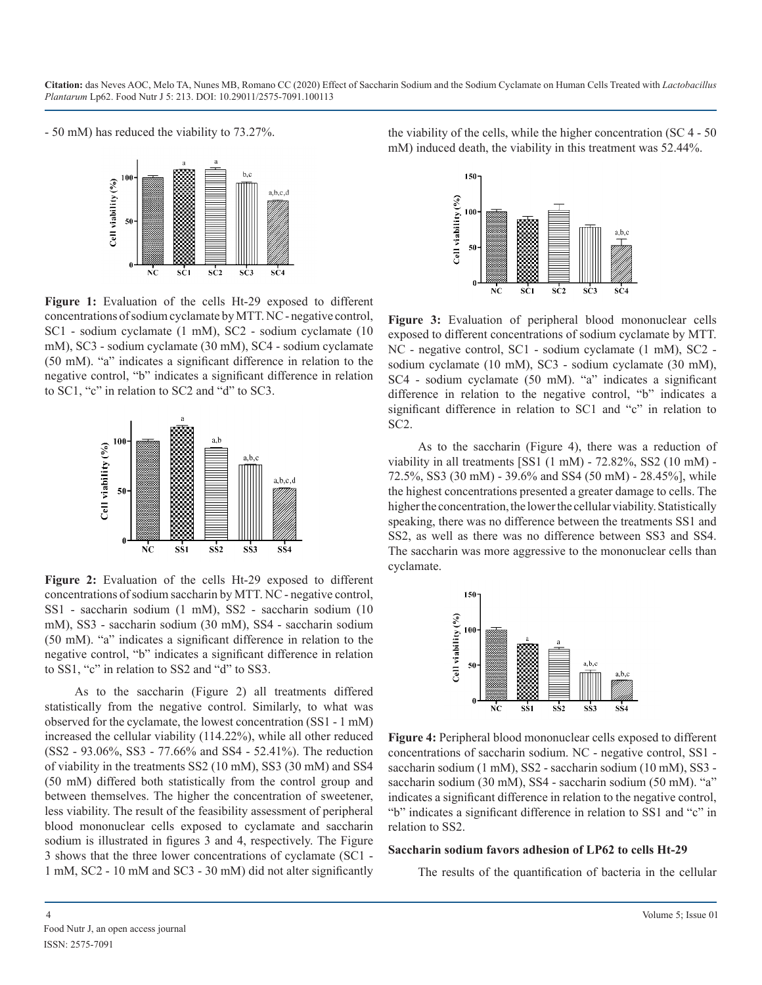- 50 mM) has reduced the viability to 73.27%.



**Figure 1:** Evaluation of the cells Ht-29 exposed to different concentrations of sodium cyclamate by MTT. NC - negative control, SC1 - sodium cyclamate (1 mM), SC2 - sodium cyclamate (10 mM), SC3 - sodium cyclamate (30 mM), SC4 - sodium cyclamate (50 mM). "a" indicates a significant difference in relation to the negative control, "b" indicates a significant difference in relation to SC1, "c" in relation to SC2 and "d" to SC3.



**Figure 2:** Evaluation of the cells Ht-29 exposed to different concentrations of sodium saccharin by MTT. NC - negative control, SS1 - saccharin sodium (1 mM), SS2 - saccharin sodium (10 mM), SS3 - saccharin sodium (30 mM), SS4 - saccharin sodium (50 mM). "a" indicates a significant difference in relation to the negative control, "b" indicates a significant difference in relation to SS1, "c" in relation to SS2 and "d" to SS3.

As to the saccharin (Figure 2) all treatments differed statistically from the negative control. Similarly, to what was observed for the cyclamate, the lowest concentration (SS1 - 1 mM) increased the cellular viability (114.22%), while all other reduced (SS2 - 93.06%, SS3 - 77.66% and SS4 - 52.41%). The reduction of viability in the treatments SS2 (10 mM), SS3 (30 mM) and SS4 (50 mM) differed both statistically from the control group and between themselves. The higher the concentration of sweetener, less viability. The result of the feasibility assessment of peripheral blood mononuclear cells exposed to cyclamate and saccharin sodium is illustrated in figures 3 and 4, respectively. The Figure 3 shows that the three lower concentrations of cyclamate (SC1 - 1 mM, SC2 - 10 mM and SC3 - 30 mM) did not alter significantly the viability of the cells, while the higher concentration (SC 4 - 50 mM) induced death, the viability in this treatment was 52.44%.



**Figure 3:** Evaluation of peripheral blood mononuclear cells exposed to different concentrations of sodium cyclamate by MTT. NC - negative control, SC1 - sodium cyclamate (1 mM), SC2 sodium cyclamate (10 mM), SC3 - sodium cyclamate (30 mM), SC4 - sodium cyclamate (50 mM). "a" indicates a significant difference in relation to the negative control, "b" indicates a significant difference in relation to SC1 and "c" in relation to SC2.

As to the saccharin (Figure 4), there was a reduction of viability in all treatments [SS1 (1 mM) - 72.82%, SS2 (10 mM) - 72.5%, SS3 (30 mM) - 39.6% and SS4 (50 mM) - 28.45%], while the highest concentrations presented a greater damage to cells. The higher the concentration, the lower the cellular viability. Statistically speaking, there was no difference between the treatments SS1 and SS2, as well as there was no difference between SS3 and SS4. The saccharin was more aggressive to the mononuclear cells than cyclamate.



**Figure 4:** Peripheral blood mononuclear cells exposed to different concentrations of saccharin sodium. NC - negative control, SS1 saccharin sodium (1 mM), SS2 - saccharin sodium (10 mM), SS3 saccharin sodium (30 mM), SS4 - saccharin sodium (50 mM). "a" indicates a significant difference in relation to the negative control, "b" indicates a significant difference in relation to SS1 and "c" in relation to SS2.

#### **Saccharin sodium favors adhesion of LP62 to cells Ht-29**

The results of the quantification of bacteria in the cellular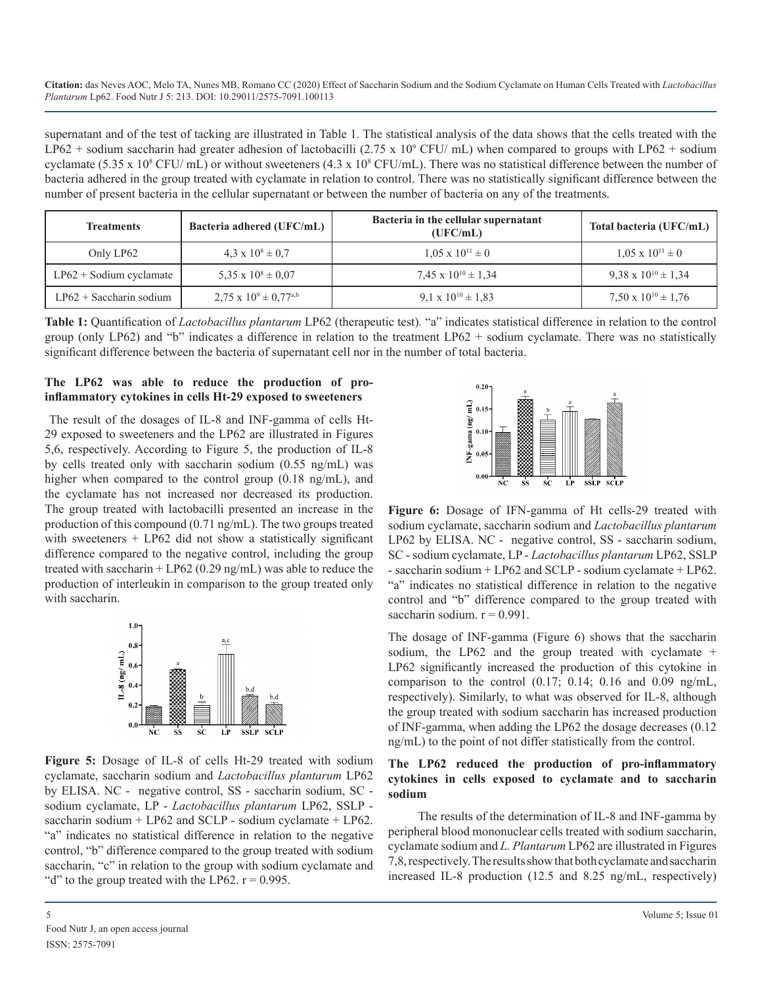supernatant and of the test of tacking are illustrated in Table 1. The statistical analysis of the data shows that the cells treated with the LP62 + sodium saccharin had greater adhesion of lactobacilli (2.75 x 10<sup>9</sup> CFU/ mL) when compared to groups with LP62 + sodium cyclamate (5.35 x 10<sup>8</sup> CFU/mL) or without sweeteners (4.3 x 10<sup>8</sup> CFU/mL). There was no statistical difference between the number of bacteria adhered in the group treated with cyclamate in relation to control. There was no statistically significant difference between the number of present bacteria in the cellular supernatant or between the number of bacteria on any of the treatments.

| <b>Treatments</b>         | Bacteria adhered (UFC/mL)           | Bacteria in the cellular supernatant<br>(UFC/mL) | Total bacteria (UFC/mL)        |
|---------------------------|-------------------------------------|--------------------------------------------------|--------------------------------|
| Only LP62                 | $4.3 \times 10^8 \pm 0.7$           | $1.05 \times 10^{11} \pm 0$                      | $1.05 \times 10^{11} \pm 0$    |
| $LP62 +$ Sodium cyclamate | 5.35 x $10^8 \pm 0.07$              | $7.45 \times 10^{10} \pm 1.34$                   | $9.38 \times 10^{10} \pm 1.34$ |
| $LP62 + Saccharin$ sodium | $2,75 \times 10^{9} \pm 0,77^{a,b}$ | 9.1 x $10^{10} \pm 1.83$                         | 7,50 x $10^{10} \pm 1,76$      |

**Table 1:** Quantification of *Lactobacillus plantarum* LP62 (therapeutic test)*.* "a" indicates statistical difference in relation to the control group (only LP62) and "b" indicates a difference in relation to the treatment LP62 + sodium cyclamate. There was no statistically significant difference between the bacteria of supernatant cell nor in the number of total bacteria.

#### **The LP62 was able to reduce the production of proinflammatory cytokines in cells Ht-29 exposed to sweeteners**

The result of the dosages of IL-8 and INF-gamma of cells Ht-29 exposed to sweeteners and the LP62 are illustrated in Figures 5,6, respectively. According to Figure 5, the production of IL-8 by cells treated only with saccharin sodium (0.55 ng/mL) was higher when compared to the control group (0.18 ng/mL), and the cyclamate has not increased nor decreased its production. The group treated with lactobacilli presented an increase in the production of this compound (0.71 ng/mL). The two groups treated with sweeteners + LP62 did not show a statistically significant difference compared to the negative control, including the group treated with saccharin + LP62 (0.29 ng/mL) was able to reduce the production of interleukin in comparison to the group treated only with saccharin.



**Figure 5:** Dosage of IL-8 of cells Ht-29 treated with sodium cyclamate, saccharin sodium and *Lactobacillus plantarum* LP62 by ELISA. NC - negative control, SS - saccharin sodium, SC sodium cyclamate, LP - *Lactobacillus plantarum* LP62, SSLP saccharin sodium + LP62 and SCLP - sodium cyclamate + LP62. "a" indicates no statistical difference in relation to the negative control, "b" difference compared to the group treated with sodium saccharin, "c" in relation to the group with sodium cyclamate and "d" to the group treated with the LP62.  $r = 0.995$ .



**Figure 6:** Dosage of IFN-gamma of Ht cells-29 treated with sodium cyclamate, saccharin sodium and *Lactobacillus plantarum* LP62 by ELISA. NC - negative control, SS - saccharin sodium, SC - sodium cyclamate, LP - *Lactobacillus plantarum* LP62, SSLP - saccharin sodium + LP62 and SCLP - sodium cyclamate + LP62. "a" indicates no statistical difference in relation to the negative control and "b" difference compared to the group treated with saccharin sodium.  $r = 0.991$ .

The dosage of INF-gamma (Figure 6) shows that the saccharin sodium, the LP62 and the group treated with cyclamate + LP62 significantly increased the production of this cytokine in comparison to the control  $(0.17; 0.14; 0.16$  and  $0.09$  ng/mL, respectively). Similarly, to what was observed for IL-8, although the group treated with sodium saccharin has increased production of INF-gamma, when adding the LP62 the dosage decreases (0.12 ng/mL) to the point of not differ statistically from the control.

#### **The LP62 reduced the production of pro-inflammatory cytokines in cells exposed to cyclamate and to saccharin sodium**

The results of the determination of IL-8 and INF-gamma by peripheral blood mononuclear cells treated with sodium saccharin, cyclamate sodium and *L. Plantarum* LP62 are illustrated in Figures 7,8, respectively. The results show that both cyclamate and saccharin increased IL-8 production (12.5 and 8.25 ng/mL, respectively)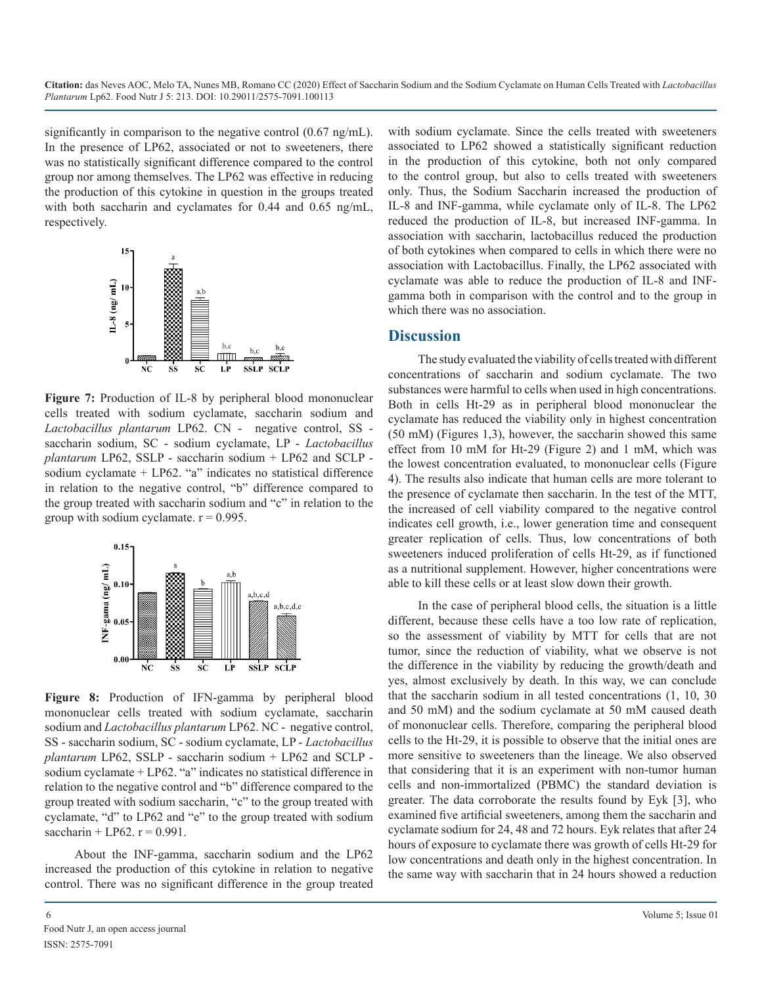significantly in comparison to the negative control (0.67 ng/mL). In the presence of LP62, associated or not to sweeteners, there was no statistically significant difference compared to the control group nor among themselves. The LP62 was effective in reducing the production of this cytokine in question in the groups treated with both saccharin and cyclamates for 0.44 and 0.65 ng/mL, respectively.



**Figure 7:** Production of IL-8 by peripheral blood mononuclear cells treated with sodium cyclamate, saccharin sodium and *Lactobacillus plantarum* LP62. CN - negative control, SS saccharin sodium, SC - sodium cyclamate, LP - *Lactobacillus plantarum* LP62, SSLP - saccharin sodium + LP62 and SCLP sodium cyclamate + LP62. "a" indicates no statistical difference in relation to the negative control, "b" difference compared to the group treated with saccharin sodium and "c" in relation to the group with sodium cyclamate.  $r = 0.995$ .



**Figure 8:** Production of IFN-gamma by peripheral blood mononuclear cells treated with sodium cyclamate, saccharin sodium and *Lactobacillus plantarum* LP62. NC - negative control, SS - saccharin sodium, SC - sodium cyclamate, LP - *Lactobacillus plantarum* LP62, SSLP - saccharin sodium + LP62 and SCLP sodium cyclamate + LP62. "a" indicates no statistical difference in relation to the negative control and "b" difference compared to the group treated with sodium saccharin, "c" to the group treated with cyclamate, "d" to LP62 and "e" to the group treated with sodium saccharin + LP62.  $r = 0.991$ .

About the INF-gamma, saccharin sodium and the LP62 increased the production of this cytokine in relation to negative control. There was no significant difference in the group treated with sodium cyclamate. Since the cells treated with sweeteners associated to LP62 showed a statistically significant reduction in the production of this cytokine, both not only compared to the control group, but also to cells treated with sweeteners only. Thus, the Sodium Saccharin increased the production of IL-8 and INF-gamma, while cyclamate only of IL-8. The LP62 reduced the production of IL-8, but increased INF-gamma. In association with saccharin, lactobacillus reduced the production of both cytokines when compared to cells in which there were no association with Lactobacillus. Finally, the LP62 associated with cyclamate was able to reduce the production of IL-8 and INFgamma both in comparison with the control and to the group in which there was no association.

## **Discussion**

The study evaluated the viability of cells treated with different concentrations of saccharin and sodium cyclamate. The two substances were harmful to cells when used in high concentrations. Both in cells Ht-29 as in peripheral blood mononuclear the cyclamate has reduced the viability only in highest concentration (50 mM) (Figures 1,3), however, the saccharin showed this same effect from 10 mM for Ht-29 (Figure 2) and 1 mM, which was the lowest concentration evaluated, to mononuclear cells (Figure 4). The results also indicate that human cells are more tolerant to the presence of cyclamate then saccharin. In the test of the MTT, the increased of cell viability compared to the negative control indicates cell growth, i.e., lower generation time and consequent greater replication of cells. Thus, low concentrations of both sweeteners induced proliferation of cells Ht-29, as if functioned as a nutritional supplement. However, higher concentrations were able to kill these cells or at least slow down their growth.

In the case of peripheral blood cells, the situation is a little different, because these cells have a too low rate of replication, so the assessment of viability by MTT for cells that are not tumor, since the reduction of viability, what we observe is not the difference in the viability by reducing the growth/death and yes, almost exclusively by death. In this way, we can conclude that the saccharin sodium in all tested concentrations (1, 10, 30 and 50 mM) and the sodium cyclamate at 50 mM caused death of mononuclear cells. Therefore, comparing the peripheral blood cells to the Ht-29, it is possible to observe that the initial ones are more sensitive to sweeteners than the lineage. We also observed that considering that it is an experiment with non-tumor human cells and non-immortalized (PBMC) the standard deviation is greater. The data corroborate the results found by Eyk [3], who examined five artificial sweeteners, among them the saccharin and cyclamate sodium for 24, 48 and 72 hours. Eyk relates that after 24 hours of exposure to cyclamate there was growth of cells Ht-29 for low concentrations and death only in the highest concentration. In the same way with saccharin that in 24 hours showed a reduction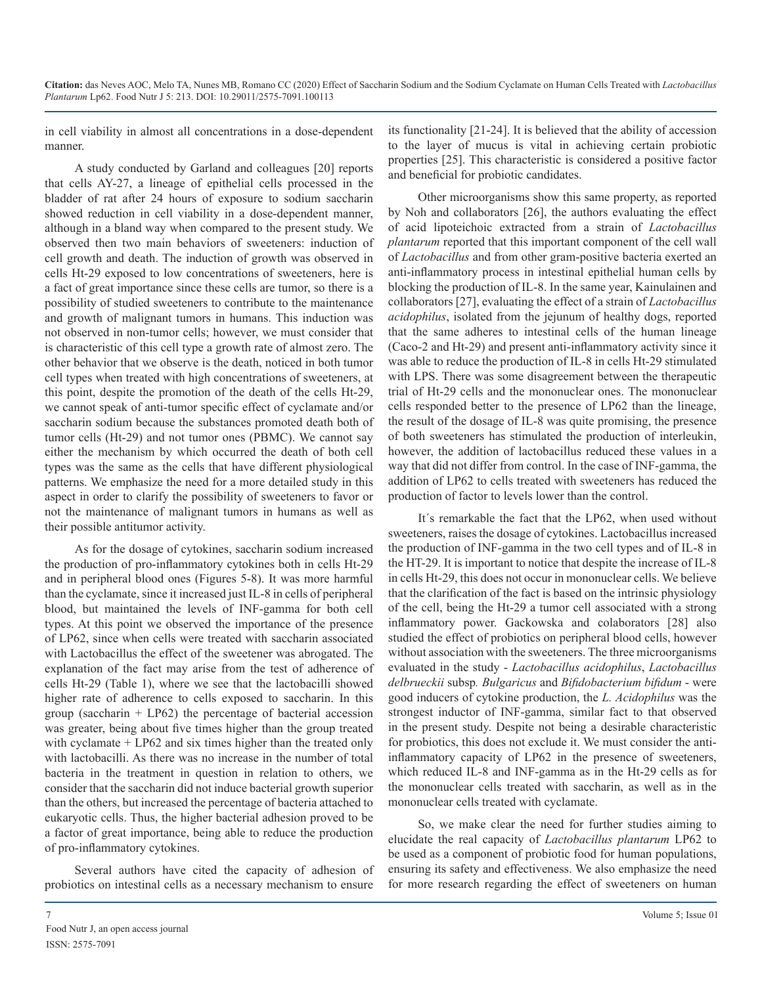in cell viability in almost all concentrations in a dose-dependent manner.

A study conducted by Garland and colleagues [20] reports that cells AY-27, a lineage of epithelial cells processed in the bladder of rat after 24 hours of exposure to sodium saccharin showed reduction in cell viability in a dose-dependent manner, although in a bland way when compared to the present study. We observed then two main behaviors of sweeteners: induction of cell growth and death. The induction of growth was observed in cells Ht-29 exposed to low concentrations of sweeteners, here is a fact of great importance since these cells are tumor, so there is a possibility of studied sweeteners to contribute to the maintenance and growth of malignant tumors in humans. This induction was not observed in non-tumor cells; however, we must consider that is characteristic of this cell type a growth rate of almost zero. The other behavior that we observe is the death, noticed in both tumor cell types when treated with high concentrations of sweeteners, at this point, despite the promotion of the death of the cells Ht-29, we cannot speak of anti-tumor specific effect of cyclamate and/or saccharin sodium because the substances promoted death both of tumor cells (Ht-29) and not tumor ones (PBMC). We cannot say either the mechanism by which occurred the death of both cell types was the same as the cells that have different physiological patterns. We emphasize the need for a more detailed study in this aspect in order to clarify the possibility of sweeteners to favor or not the maintenance of malignant tumors in humans as well as their possible antitumor activity.

As for the dosage of cytokines, saccharin sodium increased the production of pro-inflammatory cytokines both in cells Ht-29 and in peripheral blood ones (Figures 5-8). It was more harmful than the cyclamate, since it increased just IL-8 in cells of peripheral blood, but maintained the levels of INF-gamma for both cell types. At this point we observed the importance of the presence of LP62, since when cells were treated with saccharin associated with Lactobacillus the effect of the sweetener was abrogated. The explanation of the fact may arise from the test of adherence of cells Ht-29 (Table 1), where we see that the lactobacilli showed higher rate of adherence to cells exposed to saccharin. In this group (saccharin  $+$  LP62) the percentage of bacterial accession was greater, being about five times higher than the group treated with cyclamate + LP62 and six times higher than the treated only with lactobacilli. As there was no increase in the number of total bacteria in the treatment in question in relation to others, we consider that the saccharin did not induce bacterial growth superior than the others, but increased the percentage of bacteria attached to eukaryotic cells. Thus, the higher bacterial adhesion proved to be a factor of great importance, being able to reduce the production of pro-inflammatory cytokines.

Several authors have cited the capacity of adhesion of probiotics on intestinal cells as a necessary mechanism to ensure its functionality [21-24]. It is believed that the ability of accession to the layer of mucus is vital in achieving certain probiotic properties [25]. This characteristic is considered a positive factor and beneficial for probiotic candidates.

Other microorganisms show this same property, as reported by Noh and collaborators [26], the authors evaluating the effect of acid lipoteichoic extracted from a strain of *Lactobacillus plantarum* reported that this important component of the cell wall of *Lactobacillus* and from other gram-positive bacteria exerted an anti-inflammatory process in intestinal epithelial human cells by blocking the production of IL-8. In the same year, Kainulainen and collaborators [27], evaluating the effect of a strain of *Lactobacillus acidophilus*, isolated from the jejunum of healthy dogs, reported that the same adheres to intestinal cells of the human lineage (Caco-2 and Ht-29) and present anti-inflammatory activity since it was able to reduce the production of IL-8 in cells Ht-29 stimulated with LPS. There was some disagreement between the therapeutic trial of Ht-29 cells and the mononuclear ones. The mononuclear cells responded better to the presence of LP62 than the lineage, the result of the dosage of IL-8 was quite promising, the presence of both sweeteners has stimulated the production of interleukin, however, the addition of lactobacillus reduced these values in a way that did not differ from control. In the case of INF-gamma, the addition of LP62 to cells treated with sweeteners has reduced the production of factor to levels lower than the control.

It´s remarkable the fact that the LP62, when used without sweeteners, raises the dosage of cytokines. Lactobacillus increased the production of INF-gamma in the two cell types and of IL-8 in the HT-29. It is important to notice that despite the increase of IL-8 in cells Ht-29, this does not occur in mononuclear cells. We believe that the clarification of the fact is based on the intrinsic physiology of the cell, being the Ht-29 a tumor cell associated with a strong inflammatory power. Gackowska and colaborators [28] also studied the effect of probiotics on peripheral blood cells, however without association with the sweeteners. The three microorganisms evaluated in the study - *Lactobacillus acidophilus*, *Lactobacillus delbrueckii* subsp*. Bulgaricus* and *Bifidobacterium bifidum* - were good inducers of cytokine production, the *L. Acidophilus* was the strongest inductor of INF-gamma, similar fact to that observed in the present study. Despite not being a desirable characteristic for probiotics, this does not exclude it. We must consider the antiinflammatory capacity of LP62 in the presence of sweeteners, which reduced IL-8 and INF-gamma as in the Ht-29 cells as for the mononuclear cells treated with saccharin, as well as in the mononuclear cells treated with cyclamate.

So, we make clear the need for further studies aiming to elucidate the real capacity of *Lactobacillus plantarum* LP62 to be used as a component of probiotic food for human populations, ensuring its safety and effectiveness. We also emphasize the need for more research regarding the effect of sweeteners on human